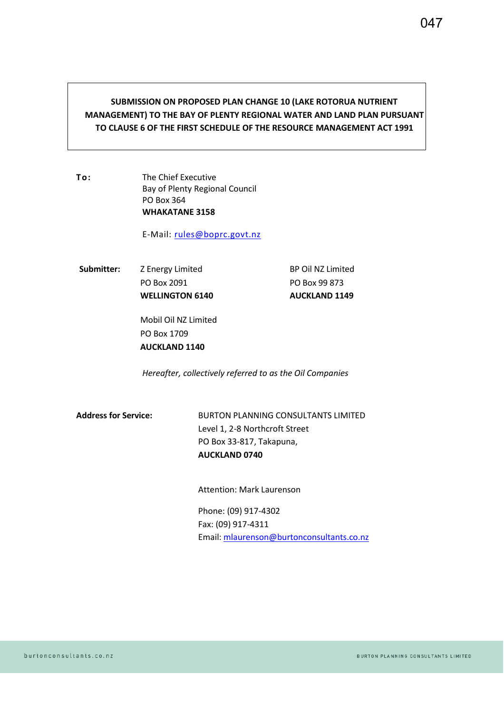## **SUBMISSION ON PROPOSED PLAN CHANGE 10 (LAKE ROTORUA NUTRIENT MANAGEMENT) TO THE BAY OF PLENTY REGIONAL WATER AND LAND PLAN PURSUANT TO CLAUSE 6 OF THE FIRST SCHEDULE OF THE RESOURCE MANAGEMENT ACT 1991**

**To:** The Chief Executive Bay of Plenty Regional Council PO Box 364 **WHAKATANE 3158**

E-Mail: rules@boprc.govt.nz

Submitter: **Z** Energy Limited **BP Oil NZ Limited** PO Box 2091 PO Box 99 873 WELLINGTON 6140 **AUCKLAND 1149** 

Mobil Oil NZ Limited PO Box 1709 **AUCKLAND 1140** 

*Hereafter, collectively referred to as the Oil Companies* 

**Address for Service:** BURTON PLANNING CONSULTANTS LIMITED Level 1, 2-8 Northcroft Street PO Box 33-817, Takapuna, **AUCKLAND 0740** 

Attention: Mark Laurenson

Phone: (09) 917-4302 Fax: (09) 917-4311 Email: [mlaurenson@burtonconsultants.co.nz](mailto:mlaurenson@burtonconsultants.co.nz)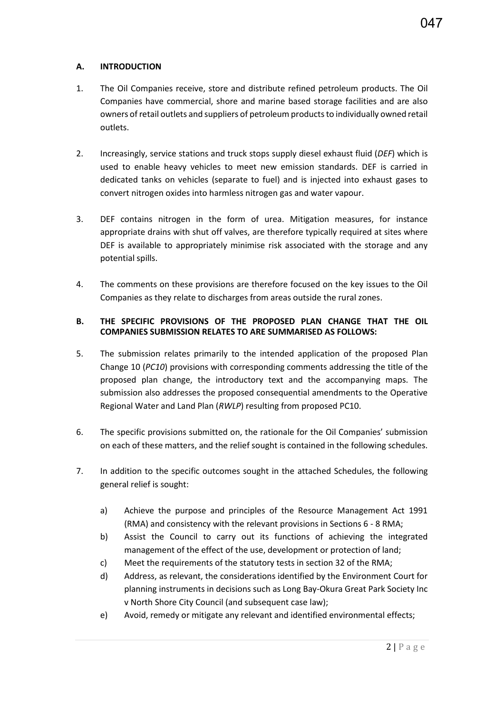- 1. The Oil Companies receive, store and distribute refined petroleum products. The Oil Companies have commercial, shore and marine based storage facilities and are also owners of retail outlets and suppliers of petroleum products to individually owned retail outlets.
- 2. Increasingly, service stations and truck stops supply diesel exhaust fluid (*DEF*) which is used to enable heavy vehicles to meet new emission standards. DEF is carried in dedicated tanks on vehicles (separate to fuel) and is injected into exhaust gases to convert nitrogen oxides into harmless nitrogen gas and water vapour.
- 3. DEF contains nitrogen in the form of urea. Mitigation measures, for instance appropriate drains with shut off valves, are therefore typically required at sites where DEF is available to appropriately minimise risk associated with the storage and any potential spills.
- 4. The comments on these provisions are therefore focused on the key issues to the Oil Companies as they relate to discharges from areas outside the rural zones.

#### **B. THE SPECIFIC PROVISIONS OF THE PROPOSED PLAN CHANGE THAT THE OIL COMPANIES SUBMISSION RELATES TO ARE SUMMARISED AS FOLLOWS:**

- 5. The submission relates primarily to the intended application of the proposed Plan Change 10 (*PC10*) provisions with corresponding comments addressing the title of the proposed plan change, the introductory text and the accompanying maps. The submission also addresses the proposed consequential amendments to the Operative Regional Water and Land Plan (*RWLP*) resulting from proposed PC10.
- 6. The specific provisions submitted on, the rationale for the Oil Companies' submission on each of these matters, and the relief sought is contained in the following schedules.
- 7. In addition to the specific outcomes sought in the attached Schedules, the following general relief is sought:
	- a) Achieve the purpose and principles of the Resource Management Act 1991 (RMA) and consistency with the relevant provisions in Sections 6 - 8 RMA;
	- b) Assist the Council to carry out its functions of achieving the integrated management of the effect of the use, development or protection of land;
	- c) Meet the requirements of the statutory tests in section 32 of the RMA;
	- d) Address, as relevant, the considerations identified by the Environment Court for planning instruments in decisions such as Long Bay-Okura Great Park Society Inc v North Shore City Council (and subsequent case law);
	- e) Avoid, remedy or mitigate any relevant and identified environmental effects;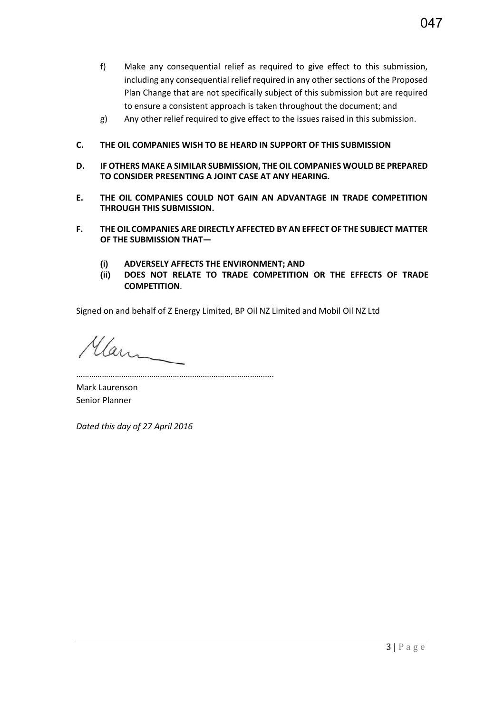- f) Make any consequential relief as required to give effect to this submission, including any consequential relief required in any other sections of the Proposed Plan Change that are not specifically subject of this submission but are required to ensure a consistent approach is taken throughout the document; and
- g) Any other relief required to give effect to the issues raised in this submission.

### **C. THE OIL COMPANIES WISH TO BE HEARD IN SUPPORT OF THIS SUBMISSION**

- **D. IF OTHERS MAKE A SIMILAR SUBMISSION, THE OIL COMPANIES WOULD BE PREPARED TO CONSIDER PRESENTING A JOINT CASE AT ANY HEARING.**
- **E. THE OIL COMPANIES COULD NOT GAIN AN ADVANTAGE IN TRADE COMPETITION THROUGH THIS SUBMISSION.**
- **F. THE OIL COMPANIES ARE DIRECTLY AFFECTED BY AN EFFECT OF THE SUBJECT MATTER OF THE SUBMISSION THAT—**
	- **(i) ADVERSELY AFFECTS THE ENVIRONMENT; AND**
	- **(ii) DOES NOT RELATE TO TRADE COMPETITION OR THE EFFECTS OF TRADE COMPETITION**.

Signed on and behalf of Z Energy Limited, BP Oil NZ Limited and Mobil Oil NZ Ltd

Mann

………………………………………………………………………………..

Mark Laurenson Senior Planner

*Dated this day of 27 April 2016*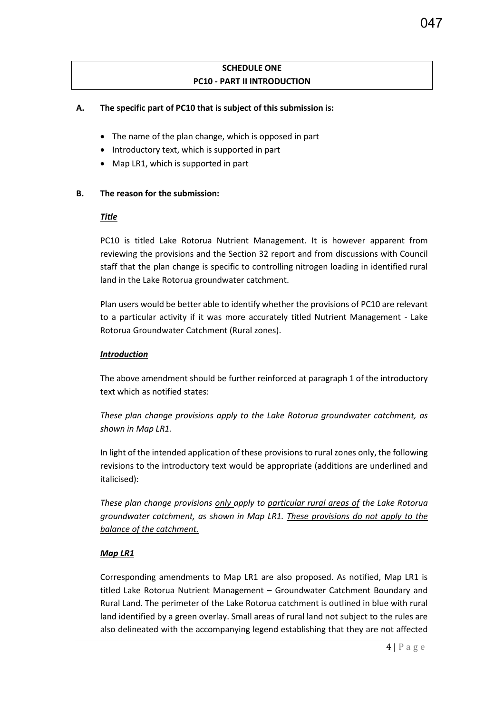## **SCHEDULE ONE PC10 - PART II INTRODUCTION**

#### **A. The specific part of PC10 that is subject of this submission is:**

- The name of the plan change, which is opposed in part
- Introductory text, which is supported in part
- Map LR1, which is supported in part

#### **B. The reason for the submission:**

#### *Title*

PC10 is titled Lake Rotorua Nutrient Management. It is however apparent from reviewing the provisions and the Section 32 report and from discussions with Council staff that the plan change is specific to controlling nitrogen loading in identified rural land in the Lake Rotorua groundwater catchment.

Plan users would be better able to identify whether the provisions of PC10 are relevant to a particular activity if it was more accurately titled Nutrient Management - Lake Rotorua Groundwater Catchment (Rural zones).

#### *Introduction*

The above amendment should be further reinforced at paragraph 1 of the introductory text which as notified states:

*These plan change provisions apply to the Lake Rotorua groundwater catchment, as shown in Map LR1.*

In light of the intended application of these provisions to rural zones only, the following revisions to the introductory text would be appropriate (additions are underlined and italicised):

*These plan change provisions only apply to particular rural areas of the Lake Rotorua groundwater catchment, as shown in Map LR1. These provisions do not apply to the balance of the catchment.* 

#### *Map LR1*

Corresponding amendments to Map LR1 are also proposed. As notified, Map LR1 is titled Lake Rotorua Nutrient Management – Groundwater Catchment Boundary and Rural Land. The perimeter of the Lake Rotorua catchment is outlined in blue with rural land identified by a green overlay. Small areas of rural land not subject to the rules are also delineated with the accompanying legend establishing that they are not affected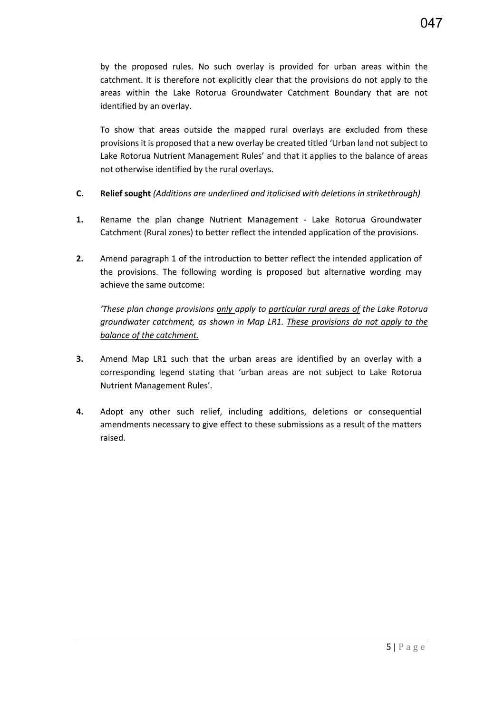by the proposed rules. No such overlay is provided for urban areas within the catchment. It is therefore not explicitly clear that the provisions do not apply to the areas within the Lake Rotorua Groundwater Catchment Boundary that are not identified by an overlay.

To show that areas outside the mapped rural overlays are excluded from these provisions it is proposed that a new overlay be created titled 'Urban land not subject to Lake Rotorua Nutrient Management Rules' and that it applies to the balance of areas not otherwise identified by the rural overlays.

- **C. Relief sought** *(Additions are underlined and italicised with deletions in strikethrough)*
- **1.** Rename the plan change Nutrient Management Lake Rotorua Groundwater Catchment (Rural zones) to better reflect the intended application of the provisions.
- **2.** Amend paragraph 1 of the introduction to better reflect the intended application of the provisions. The following wording is proposed but alternative wording may achieve the same outcome:

*'These plan change provisions only apply to particular rural areas of the Lake Rotorua groundwater catchment, as shown in Map LR1. These provisions do not apply to the balance of the catchment.* 

- **3.** Amend Map LR1 such that the urban areas are identified by an overlay with a corresponding legend stating that 'urban areas are not subject to Lake Rotorua Nutrient Management Rules'.
- **4.** Adopt any other such relief, including additions, deletions or consequential amendments necessary to give effect to these submissions as a result of the matters raised.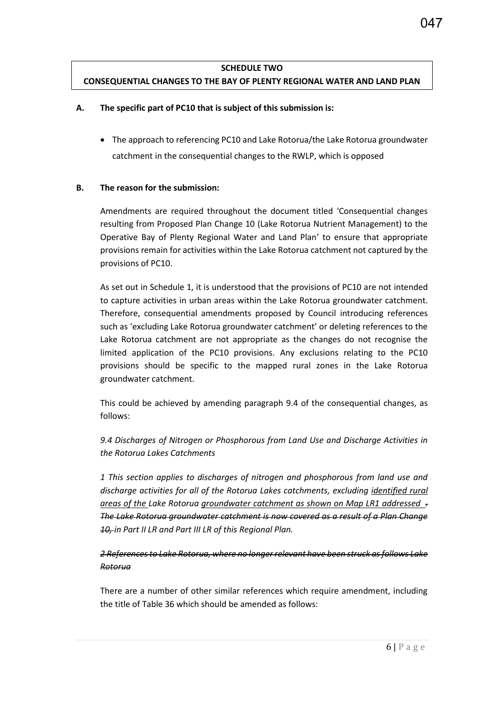## **SCHEDULE TWO CONSEQUENTIAL CHANGES TO THE BAY OF PLENTY REGIONAL WATER AND LAND PLAN**

#### **A. The specific part of PC10 that is subject of this submission is:**

• The approach to referencing PC10 and Lake Rotorua/the Lake Rotorua groundwater catchment in the consequential changes to the RWLP, which is opposed

#### **B. The reason for the submission:**

Amendments are required throughout the document titled 'Consequential changes resulting from Proposed Plan Change 10 (Lake Rotorua Nutrient Management) to the Operative Bay of Plenty Regional Water and Land Plan' to ensure that appropriate provisions remain for activities within the Lake Rotorua catchment not captured by the provisions of PC10.

As set out in Schedule 1, it is understood that the provisions of PC10 are not intended to capture activities in urban areas within the Lake Rotorua groundwater catchment. Therefore, consequential amendments proposed by Council introducing references such as 'excluding Lake Rotorua groundwater catchment' or deleting references to the Lake Rotorua catchment are not appropriate as the changes do not recognise the limited application of the PC10 provisions. Any exclusions relating to the PC10 provisions should be specific to the mapped rural zones in the Lake Rotorua groundwater catchment.

This could be achieved by amending paragraph 9.4 of the consequential changes, as follows:

*9.4 Discharges of Nitrogen or Phosphorous from Land Use and Discharge Activities in the Rotorua Lakes Catchments* 

*1 This section applies to discharges of nitrogen and phosphorous from land use and discharge activities for all of the Rotorua Lakes catchments, excluding identified rural areas of the Lake Rotorua groundwater catchment as shown on Map LR1 addressed . The Lake Rotorua groundwater catchment is now covered as a result of a Plan Change 10, in Part II LR and Part III LR of this Regional Plan.* 

## *2 References to Lake Rotorua, where no longer relevant have been struck as follows Lake Rotorua*

There are a number of other similar references which require amendment, including the title of Table 36 which should be amended as follows: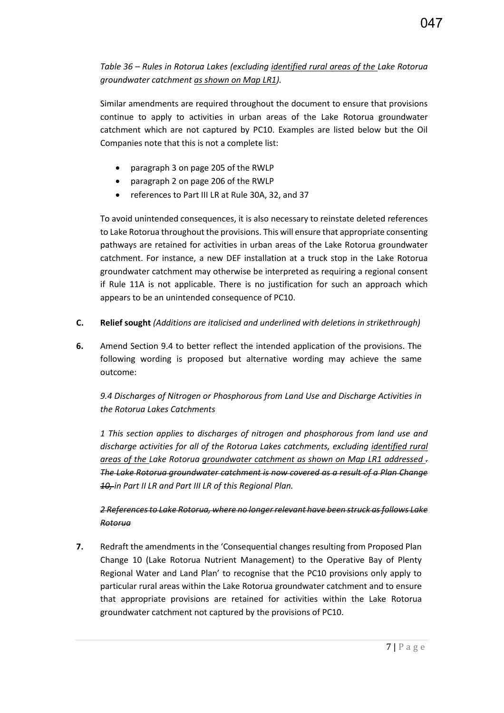# *Table 36 – Rules in Rotorua Lakes (excluding identified rural areas of the Lake Rotorua groundwater catchment as shown on Map LR1).*

Similar amendments are required throughout the document to ensure that provisions continue to apply to activities in urban areas of the Lake Rotorua groundwater catchment which are not captured by PC10. Examples are listed below but the Oil Companies note that this is not a complete list:

- paragraph 3 on page 205 of the RWLP
- paragraph 2 on page 206 of the RWLP
- references to Part III LR at Rule 30A, 32, and 37

To avoid unintended consequences, it is also necessary to reinstate deleted references to Lake Rotorua throughout the provisions. This will ensure that appropriate consenting pathways are retained for activities in urban areas of the Lake Rotorua groundwater catchment. For instance, a new DEF installation at a truck stop in the Lake Rotorua groundwater catchment may otherwise be interpreted as requiring a regional consent if Rule 11A is not applicable. There is no justification for such an approach which appears to be an unintended consequence of PC10.

- **C. Relief sought** *(Additions are italicised and underlined with deletions in strikethrough)*
- **6.** Amend Section 9.4 to better reflect the intended application of the provisions. The following wording is proposed but alternative wording may achieve the same outcome:

*9.4 Discharges of Nitrogen or Phosphorous from Land Use and Discharge Activities in the Rotorua Lakes Catchments* 

*1 This section applies to discharges of nitrogen and phosphorous from land use and discharge activities for all of the Rotorua Lakes catchments, excluding identified rural areas of the Lake Rotorua groundwater catchment as shown on Map LR1 addressed . The Lake Rotorua groundwater catchment is now covered as a result of a Plan Change 10, in Part II LR and Part III LR of this Regional Plan.* 

## *2 References to Lake Rotorua, where no longer relevant have been struck as follows Lake Rotorua*

**7.** Redraft the amendments in the 'Consequential changes resulting from Proposed Plan Change 10 (Lake Rotorua Nutrient Management) to the Operative Bay of Plenty Regional Water and Land Plan' to recognise that the PC10 provisions only apply to particular rural areas within the Lake Rotorua groundwater catchment and to ensure that appropriate provisions are retained for activities within the Lake Rotorua groundwater catchment not captured by the provisions of PC10.